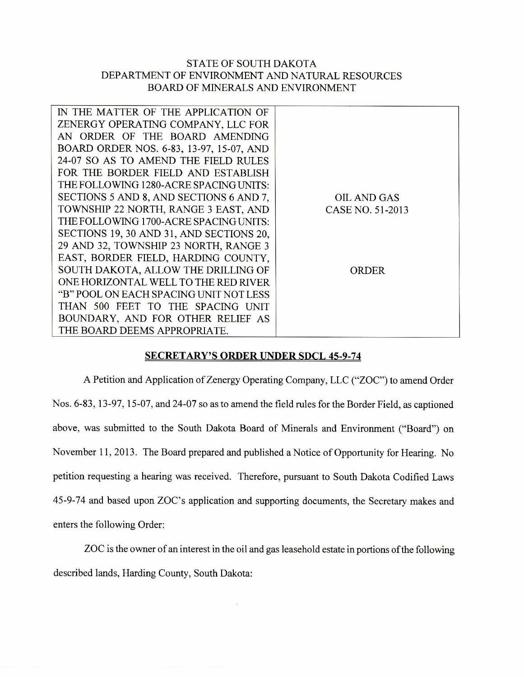## STATE OF SOUTH DAKOTA DEPARTMENT OF ENVIRONMENT AND NATURAL RESOURCES BOARD OF MINERALS AND ENVIRONMENT

| IN THE MATTER OF THE APPLICATION OF      |                    |
|------------------------------------------|--------------------|
| ZENERGY OPERATING COMPANY, LLC FOR       |                    |
| AN ORDER OF THE BOARD AMENDING           |                    |
| BOARD ORDER NOS. 6-83, 13-97, 15-07, AND |                    |
| 24-07 SO AS TO AMEND THE FIELD RULES     |                    |
| FOR THE BORDER FIELD AND ESTABLISH       |                    |
| THE FOLLOWING 1280-ACRE SPACING UNITS:   |                    |
| SECTIONS 5 AND 8, AND SECTIONS 6 AND 7,  | <b>OIL AND GAS</b> |
| TOWNSHIP 22 NORTH, RANGE 3 EAST, AND     | CASE NO. 51-2013   |
| THE FOLLOWING 1700-ACRE SPACING UNITS:   |                    |
| SECTIONS 19, 30 AND 31, AND SECTIONS 20, |                    |
| 29 AND 32, TOWNSHIP 23 NORTH, RANGE 3    |                    |
| EAST, BORDER FIELD, HARDING COUNTY,      |                    |
| SOUTH DAKOTA, ALLOW THE DRILLING OF      | ORDER              |
| ONE HORIZONTAL WELL TO THE RED RIVER     |                    |
| "B" POOL ON EACH SPACING UNIT NOT LESS   |                    |
| THAN 500 FEET TO THE SPACING UNIT        |                    |
| BOUNDARY, AND FOR OTHER RELIEF AS        |                    |
| THE BOARD DEEMS APPROPRIATE.             |                    |
|                                          |                    |

## **SECRETARY'S ORDER UNDER SDCL 45-9-74**

A Petition and Application of Zenergy Operating Company, LLC ("ZOC") to amend Order Nos. 6-83, 13-97, 15-07, and 24-07 so as to amend the field rules for the Border Field, as captioned above, was submitted to the South Dakota Board of Minerals and Environment ("Board") on November 11, 2013. The Board prepared and published a Notice of Opportunity for Hearing. No petition requesting a hearing was received. Therefore, pursuant to South Dakota Codified Laws 45-9-74 and based upon ZOC's application and supporting documents, the Secretary makes and enters the following Order:

ZOC is the owner of an interest in the oil and gas leasehold estate in portions of the following described lands, Harding County, South Dakota: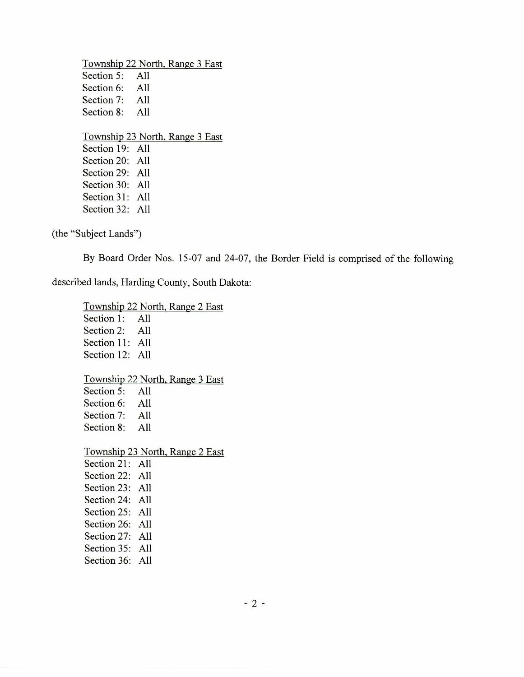Township 22 North, Range 3 East Section 5: All Section 6: All Section 7: All Section 8: All Township 23 North, Range 3 East Section 19: All Section 20: All Section 29: All Section 30: All Section 31: All Section 32: All

(the "Subject Lands")

By Board Order Nos. 15-07 and 24-07, the Border Field is comprised of the following

described lands, Harding County, South Dakota:

Township 22 North, Range 2 East Section 1: All Section 2: All Section 11: All Section 12: All Township 22 North, Range 3 East Section 5: All Section 6: All Section 7: All Section 8: All Township 23 North, Range 2 East Section 21: All Section 22: All Section 23: All Section 24: All Section 25: All Section 26: All Section 27: All Section 35: All Section 36: All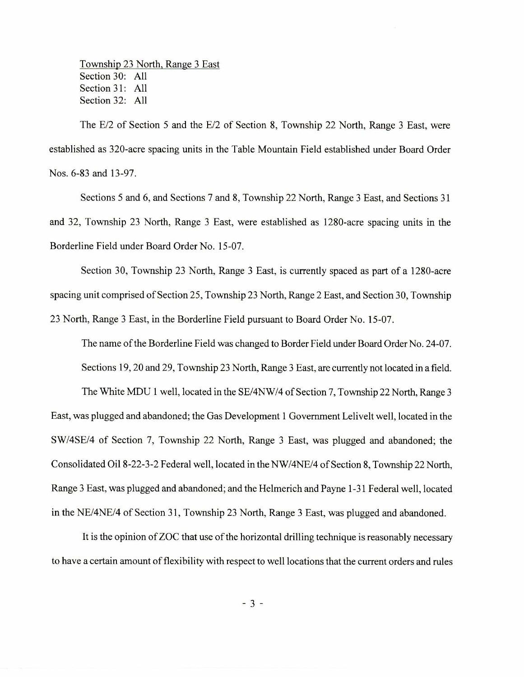Township 23 North, Range 3 East Section 30: All Section 31: All Section 32: All

The E/2 of Section 5 and the E/2 of Section 8, Township 22 North, Range 3 East, were established as 320-acre spacing units in the Table Mountain Field established under Board Order Nos. 6-83 and 13-97.

Sections 5 and 6, and Sections 7 and 8, Township 22 North, Range 3 East, and Sections 31 and 32, Township 23 North, Range 3 East, were established as 1280-acre spacing units in the Borderline Field under Board Order No. 15-07.

Section 30, Township 23 North, Range 3 East, is currently spaced as part of a 1280-acre spacing unit comprised of Section 25, Township 23 North, Range 2 East, and Section 30, Township 23 North, Range 3 East, in the Borderline Field pursuant to Board Order No. 15-07.

The name of the Borderline Field was changed to Border Field under Board Order No. 24-07. Sections 19, 20 and 29, Township 23 North, Range 3 East, are currently not located in a field.

The White MDU 1 well, located in the SE/4NW/4 of Section 7, Township 22 North, Range 3 East, was plugged and abandoned; the Gas Development 1 Government Lelivelt well, located in the SW/4SE/4 of Section 7, Township 22 North, Range 3 East, was plugged and abandoned; the Consolidated Oil 8-22-3-2 Federal well, located in the NW/4NE/4 of Section 8, Township 22 North, Range 3 East, was plugged and abandoned; and the Helmerich and Payne 1-31 Federal well, located in the NE/4NE/4 of Section 31, Township 23 North, Range 3 East, was plugged and abandoned.

It is the opinion of ZOC that use of the horizontal drilling technique is reasonably necessary to have a certain amount of flexibility with respect to well locations that the current orders and rules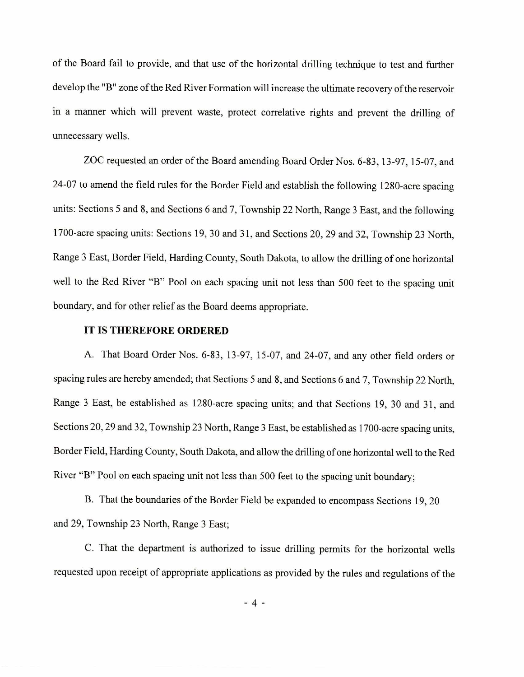of the Board fail to provide, and that use of the horizontal drilling technique to test and further develop the "B" zone of the Red River Formation will increase the ultimate recovery of the reservoir in a manner which will prevent waste, protect correlative rights and prevent the drilling of unnecessary wells.

ZOC requested an order of the Board amending Board Order Nos. 6-83, 13-97, 15-07, and 24-07 to amend the field rules for the Border Field and establish the following 1280-acre spacing units: Sections 5 and 8, and Sections 6 and 7, Township 22 North, Range 3 East, and the following 1700-acre spacing units: Sections 19, 30 and 31, and Sections 20, 29 and 32, Township 23 North, Range 3 East, Border Field, Harding County, South Dakota, to allow the drilling of one horizontal well to the Red River "B" Pool on each spacing unit not less than 500 feet to the spacing unit boundary, and for other relief as the Board deems appropriate.

## **IT IS THEREFORE ORDERED**

A. That Board Order Nos. 6-83, 13-97, 15-07, and 24-07, and any other field orders or spacing rules are hereby amended; that Sections 5 and 8, and Sections 6 and 7, Township 22 North, Range 3 East, be established as 1280-acre spacing units; and that Sections 19, 30 and 31, and Sections 20, 29 and 32, Township 23 North, Range 3 East, be established as 1700-acre spacing units, Border Field, Harding County, South Dakota, and allow the drilling of one horizontal well to the Red River "B" Pool on each spacing unit not less than 500 feet to the spacing unit boundary;

B. That the boundaries of the Border Field be expanded to encompass Sections 19, 20 and 29, Township 23 North, Range 3 East;

C. That the department is authorized to issue drilling permits for the horizontal wells requested upon receipt of appropriate applications as provided by the rules and regulations of the

 $-4-$